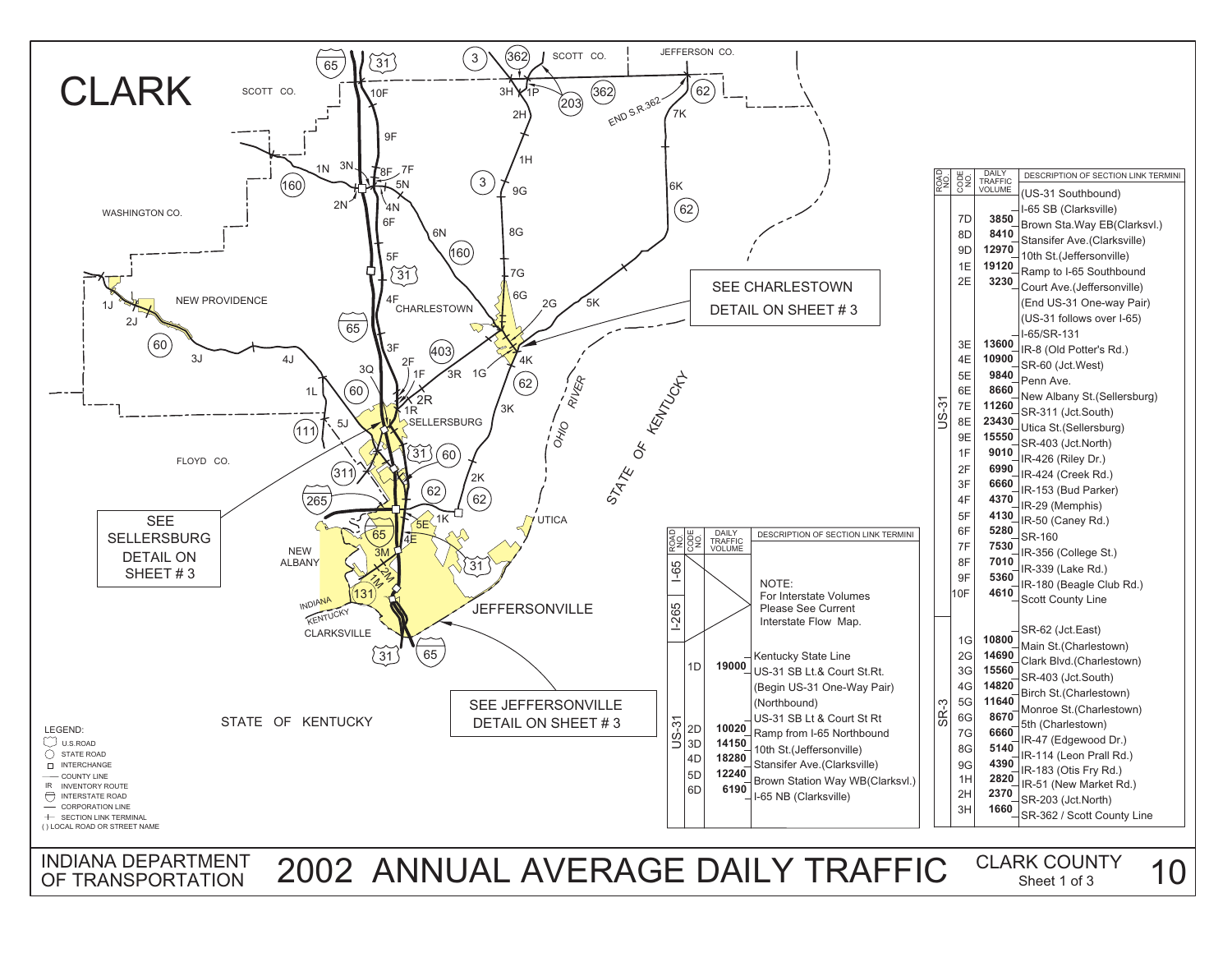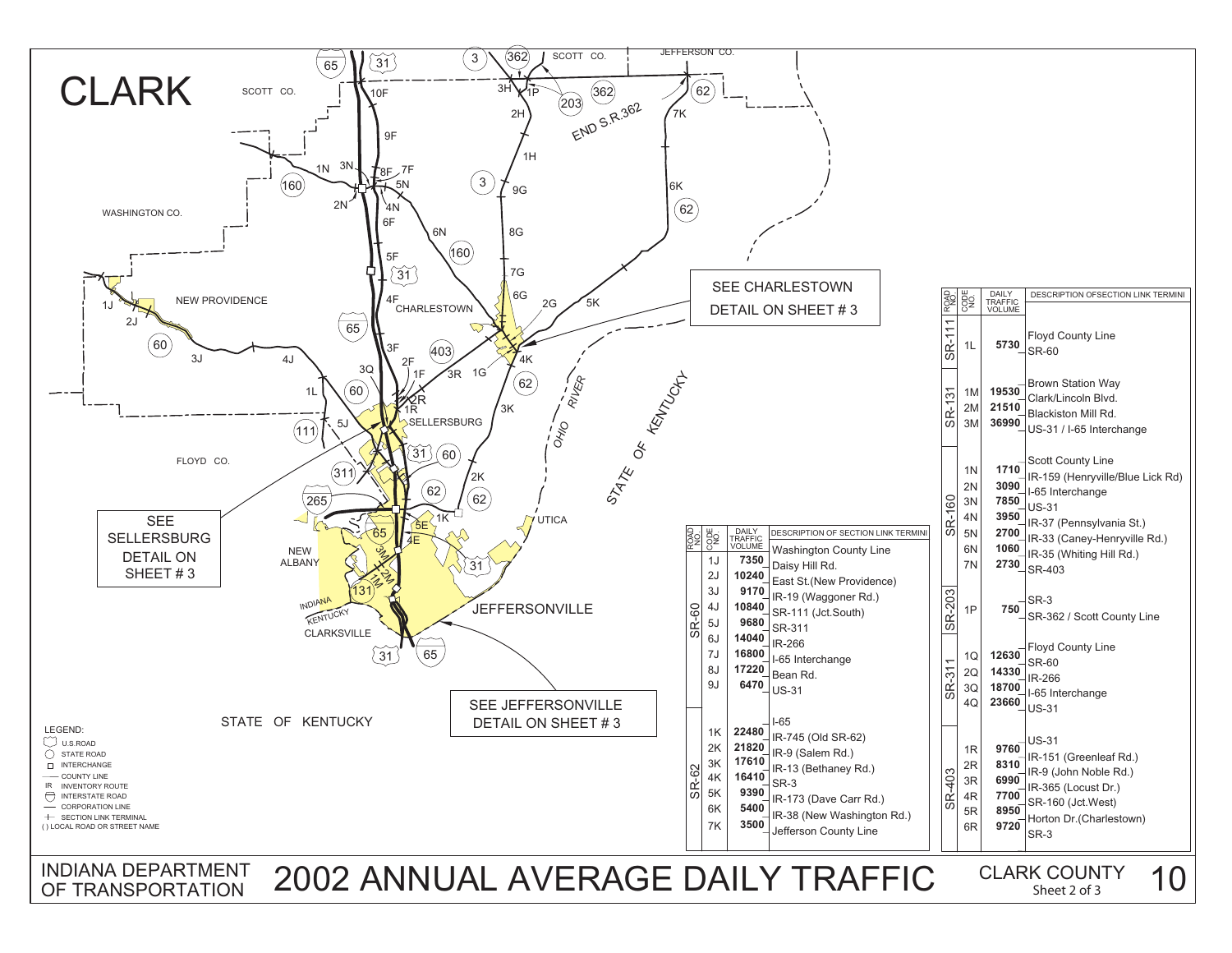